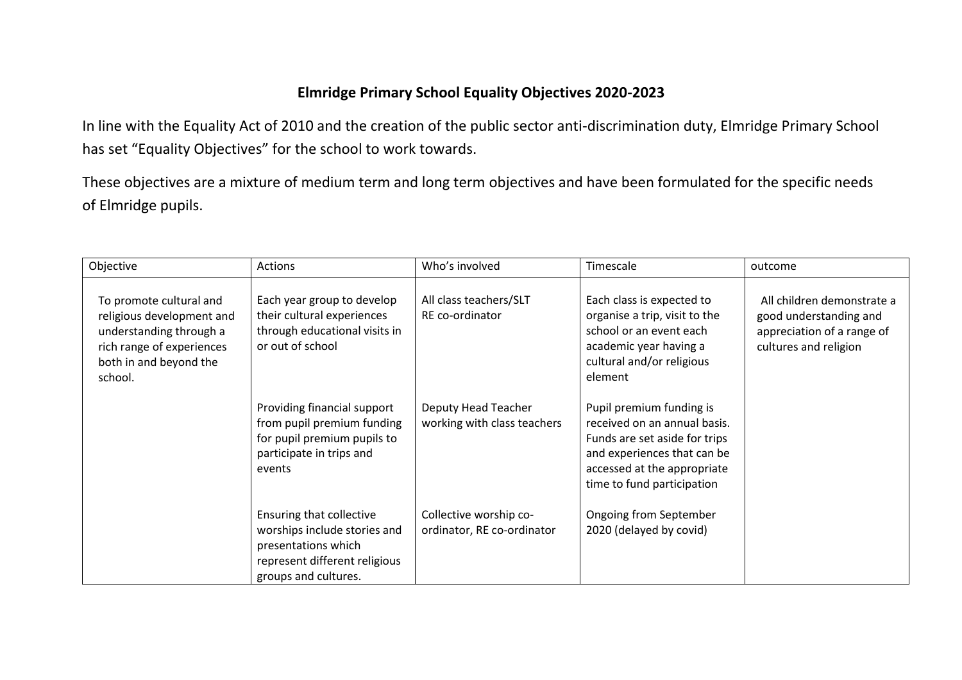## **Elmridge Primary School Equality Objectives 2020-2023**

In line with the Equality Act of 2010 and the creation of the public sector anti-discrimination duty, Elmridge Primary School has set "Equality Objectives" for the school to work towards.

These objectives are a mixture of medium term and long term objectives and have been formulated for the specific needs of Elmridge pupils.

| Objective                                                                                                                                         | Actions                                                                                                                                         | Who's involved                                       | Timescale                                                                                                                                                                             | outcome                                                                                                     |
|---------------------------------------------------------------------------------------------------------------------------------------------------|-------------------------------------------------------------------------------------------------------------------------------------------------|------------------------------------------------------|---------------------------------------------------------------------------------------------------------------------------------------------------------------------------------------|-------------------------------------------------------------------------------------------------------------|
| To promote cultural and<br>religious development and<br>understanding through a<br>rich range of experiences<br>both in and beyond the<br>school. | Each year group to develop<br>their cultural experiences<br>through educational visits in<br>or out of school                                   | All class teachers/SLT<br>RE co-ordinator            | Each class is expected to<br>organise a trip, visit to the<br>school or an event each<br>academic year having a<br>cultural and/or religious<br>element                               | All children demonstrate a<br>good understanding and<br>appreciation of a range of<br>cultures and religion |
|                                                                                                                                                   | Providing financial support<br>from pupil premium funding<br>for pupil premium pupils to<br>participate in trips and<br>events                  | Deputy Head Teacher<br>working with class teachers   | Pupil premium funding is<br>received on an annual basis.<br>Funds are set aside for trips<br>and experiences that can be<br>accessed at the appropriate<br>time to fund participation |                                                                                                             |
|                                                                                                                                                   | <b>Ensuring that collective</b><br>worships include stories and<br>presentations which<br>represent different religious<br>groups and cultures. | Collective worship co-<br>ordinator, RE co-ordinator | Ongoing from September<br>2020 (delayed by covid)                                                                                                                                     |                                                                                                             |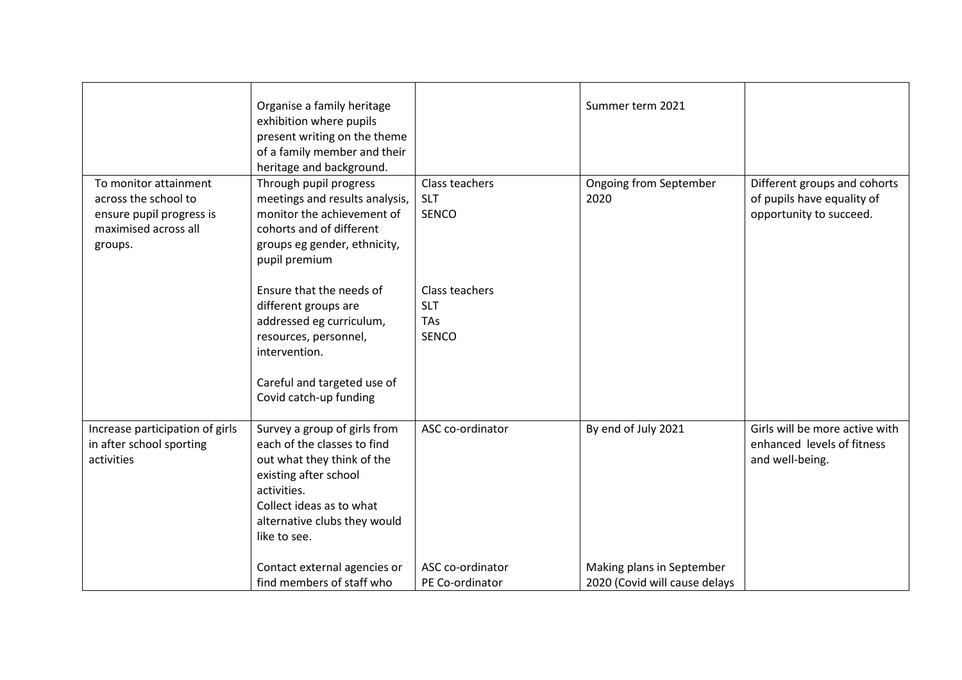|                                                                                                              | Organise a family heritage<br>exhibition where pupils<br>present writing on the theme<br>of a family member and their<br>heritage and background.                                                             |                                                     | Summer term 2021                                           |                                                                                       |
|--------------------------------------------------------------------------------------------------------------|---------------------------------------------------------------------------------------------------------------------------------------------------------------------------------------------------------------|-----------------------------------------------------|------------------------------------------------------------|---------------------------------------------------------------------------------------|
| To monitor attainment<br>across the school to<br>ensure pupil progress is<br>maximised across all<br>groups. | Through pupil progress<br>meetings and results analysis,<br>monitor the achievement of<br>cohorts and of different<br>groups eg gender, ethnicity,<br>pupil premium                                           | Class teachers<br><b>SLT</b><br><b>SENCO</b>        | Ongoing from September<br>2020                             | Different groups and cohorts<br>of pupils have equality of<br>opportunity to succeed. |
|                                                                                                              | Ensure that the needs of<br>different groups are<br>addressed eg curriculum,<br>resources, personnel,<br>intervention.<br>Careful and targeted use of<br>Covid catch-up funding                               | Class teachers<br><b>SLT</b><br>TAs<br><b>SENCO</b> |                                                            |                                                                                       |
| Increase participation of girls<br>in after school sporting<br>activities                                    | Survey a group of girls from<br>each of the classes to find<br>out what they think of the<br>existing after school<br>activities.<br>Collect ideas as to what<br>alternative clubs they would<br>like to see. | ASC co-ordinator                                    | By end of July 2021                                        | Girls will be more active with<br>enhanced levels of fitness<br>and well-being.       |
|                                                                                                              | Contact external agencies or<br>find members of staff who                                                                                                                                                     | ASC co-ordinator<br>PE Co-ordinator                 | Making plans in September<br>2020 (Covid will cause delays |                                                                                       |